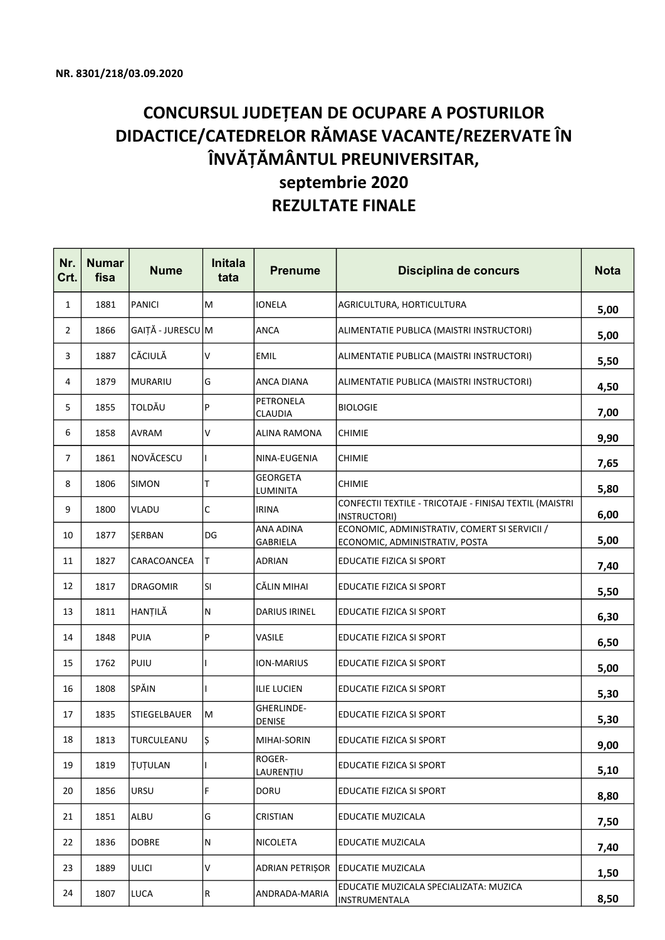## CONCURSUL JUDEȚEAN DE OCUPARE A POSTURILOR DIDACTICE/CATEDRELOR RĂMASE VACANTE/REZERVATE ÎN ÎNVĂȚĂMÂNTUL PREUNIVERSITAR, septembrie 2020 REZULTATE FINALE

| Nr.<br>Crt.    | <b>Numar</b><br>fisa | <b>Nume</b>       | <b>Initala</b><br>tata | <b>Prenume</b>              | Disciplina de concurs                                                           | <b>Nota</b> |
|----------------|----------------------|-------------------|------------------------|-----------------------------|---------------------------------------------------------------------------------|-------------|
| $\mathbf{1}$   | 1881                 | <b>PANICI</b>     | M                      | <b>IONELA</b>               | AGRICULTURA, HORTICULTURA                                                       | 5,00        |
| $\mathbf{2}$   | 1866                 | GAIȚĂ - JURESCU M |                        | <b>ANCA</b>                 | ALIMENTATIE PUBLICA (MAISTRI INSTRUCTORI)                                       | 5,00        |
| 3              | 1887                 | CĂCIULĂ           | V                      | <b>EMIL</b>                 | ALIMENTATIE PUBLICA (MAISTRI INSTRUCTORI)                                       | 5,50        |
| 4              | 1879                 | <b>MURARIU</b>    | G                      | ANCA DIANA                  | ALIMENTATIE PUBLICA (MAISTRI INSTRUCTORI)                                       | 4,50        |
| 5              | 1855                 | <b>TOLDĂU</b>     | P                      | <b>PETRONELA</b><br>CLAUDIA | <b>BIOLOGIE</b>                                                                 | 7,00        |
| 6              | 1858                 | <b>AVRAM</b>      | v                      | ALINA RAMONA                | <b>CHIMIE</b>                                                                   | 9,90        |
| $\overline{7}$ | 1861                 | NOVĂCESCU         |                        | NINA-EUGENIA                | <b>CHIMIE</b>                                                                   | 7,65        |
| 8              | 1806                 | <b>SIMON</b>      | Т                      | <b>GEORGETA</b><br>LUMINITA | <b>CHIMIE</b>                                                                   | 5,80        |
| 9              | 1800                 | <b>VLADU</b>      | $\mathsf C$            | <b>IRINA</b>                | CONFECTII TEXTILE - TRICOTAJE - FINISAJ TEXTIL (MAISTRI<br>INSTRUCTORI)         | 6,00        |
| 10             | 1877                 | SERBAN            | DG                     | ANA ADINA<br>GABRIELA       | ECONOMIC, ADMINISTRATIV, COMERT SI SERVICII /<br>ECONOMIC, ADMINISTRATIV, POSTA | 5,00        |
| 11             | 1827                 | CARACOANCEA       | T.                     | <b>ADRIAN</b>               | EDUCATIE FIZICA SI SPORT                                                        | 7,40        |
| 12             | 1817                 | <b>DRAGOMIR</b>   | lsı                    | CĂLIN MIHAI                 | EDUCATIE FIZICA SI SPORT                                                        | 5,50        |
| 13             | 1811                 | HANȚILĂ           | lN.                    | DARIUS IRINEL               | EDUCATIE FIZICA SI SPORT                                                        | 6,30        |
| 14             | 1848                 | PUIA              | P                      | VASILE                      | EDUCATIE FIZICA SI SPORT                                                        | 6,50        |
| 15             | 1762                 | PUIU              |                        | ION-MARIUS                  | EDUCATIE FIZICA SI SPORT                                                        | 5,00        |
| 16             | 1808                 | <b>SPĂIN</b>      |                        | <b>ILIE LUCIEN</b>          | EDUCATIE FIZICA SI SPORT                                                        | 5,30        |
| 17             | 1835                 | STIEGELBAUER      | M                      | GHERLINDE-<br><b>DENISE</b> | EDUCATIE FIZICA SI SPORT                                                        | 5,30        |
| 18             | 1813                 | TURCULEANU        | Ş                      | MIHAI-SORIN                 | EDUCATIE FIZICA SI SPORT                                                        | 9,00        |
| 19             | 1819                 | <b>TUTULAN</b>    |                        | ROGER-<br>LAURENȚIU         | EDUCATIE FIZICA SI SPORT                                                        | 5,10        |
| 20             | 1856                 | URSU              | F                      | <b>DORU</b>                 | EDUCATIE FIZICA SI SPORT                                                        | 8,80        |
| 21             | 1851                 | ALBU              | G                      | CRISTIAN                    | EDUCATIE MUZICALA                                                               | 7,50        |
| 22             | 1836                 | <b>DOBRE</b>      | N                      | NICOLETA                    | <b>EDUCATIE MUZICALA</b>                                                        | 7,40        |
| 23             | 1889                 | <b>ULICI</b>      | V                      | <b>ADRIAN PETRISOR</b>      | <b>EDUCATIE MUZICALA</b>                                                        | 1,50        |
| 24             | 1807                 | LUCA              | R.                     | ANDRADA-MARIA               | EDUCATIE MUZICALA SPECIALIZATA: MUZICA<br>INSTRUMENTALA                         | 8,50        |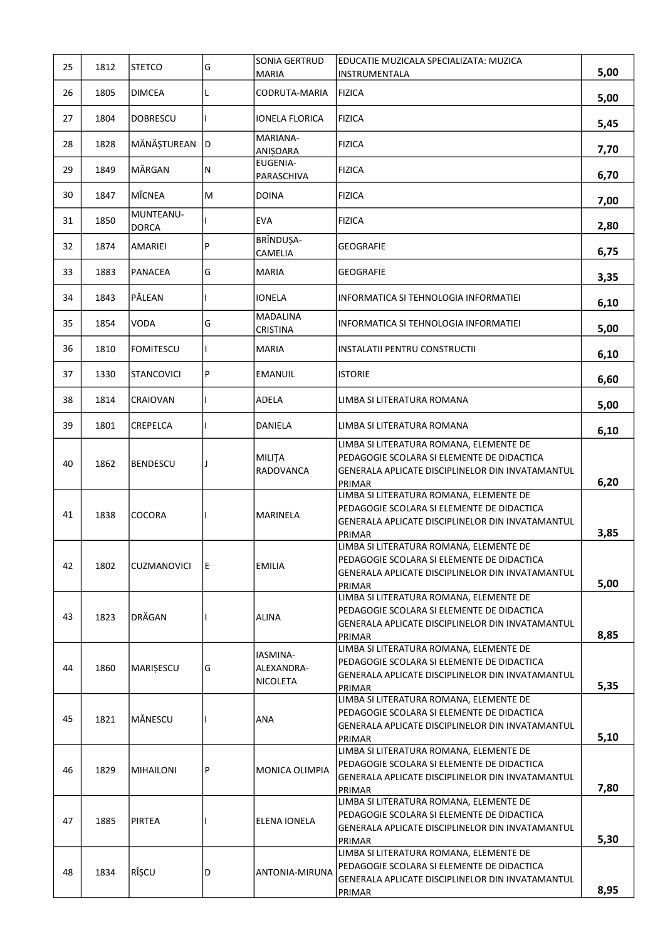| 25 | 1812 | <b>STETCO</b>             | G   | SONIA GERTRUD<br>MARIA             | EDUCATIE MUZICALA SPECIALIZATA: MUZICA<br><b>INSTRUMENTALA</b>                                                                                      | 5,00 |
|----|------|---------------------------|-----|------------------------------------|-----------------------------------------------------------------------------------------------------------------------------------------------------|------|
| 26 | 1805 | DIMCEA                    | L   | CODRUTA-MARIA                      | <b>FIZICA</b>                                                                                                                                       |      |
|    |      |                           |     |                                    |                                                                                                                                                     | 5,00 |
| 27 | 1804 | <b>DOBRESCU</b>           |     | <b>IONELA FLORICA</b><br>MARIANA-  | <b>FIZICA</b>                                                                                                                                       | 5,45 |
| 28 | 1828 | MĂNĂȘTUREAN               | D   | <b>ANIŞOARA</b>                    | <b>FIZICA</b>                                                                                                                                       | 7,70 |
| 29 | 1849 | MĂRGAN                    | N   | <b>EUGENIA-</b><br>PARASCHIVA      | <b>FIZICA</b>                                                                                                                                       | 6,70 |
| 30 | 1847 | MÎCNEA                    | M   | <b>DOINA</b>                       | <b>FIZICA</b>                                                                                                                                       | 7,00 |
| 31 | 1850 | MUNTEANU-<br><b>DORCA</b> |     | <b>EVA</b>                         | <b>FIZICA</b>                                                                                                                                       | 2,80 |
| 32 | 1874 | AMARIEI                   | P   | BRÎNDUȘA-<br>CAMELIA               | <b>GEOGRAFIE</b>                                                                                                                                    | 6,75 |
| 33 | 1883 | <b>PANACEA</b>            | G   | <b>MARIA</b>                       | <b>GEOGRAFIE</b>                                                                                                                                    | 3,35 |
| 34 | 1843 | PĂLEAN                    |     | <b>IONELA</b>                      | INFORMATICA SI TEHNOLOGIA INFORMATIEI                                                                                                               | 6,10 |
| 35 | 1854 | VODA                      | G   | <b>MADALINA</b><br>CRISTINA        | INFORMATICA SI TEHNOLOGIA INFORMATIEI                                                                                                               | 5,00 |
| 36 | 1810 | <b>FOMITESCU</b>          |     | <b>MARIA</b>                       | INSTALATII PENTRU CONSTRUCTII                                                                                                                       | 6,10 |
| 37 | 1330 | STANCOVICI                | P   | EMANUIL                            | <b>ISTORIE</b>                                                                                                                                      | 6,60 |
| 38 | 1814 | CRAIOVAN                  |     | ADELA                              | LIMBA SI LITERATURA ROMANA                                                                                                                          | 5,00 |
| 39 | 1801 | CREPELCA                  |     | DANIELA                            | LIMBA SI LITERATURA ROMANA                                                                                                                          | 6,10 |
| 40 | 1862 | <b>BENDESCU</b>           | J   | <b>MILITA</b><br>RADOVANCA         | LIMBA SI LITERATURA ROMANA, ELEMENTE DE<br>PEDAGOGIE SCOLARA SI ELEMENTE DE DIDACTICA<br>GENERALA APLICATE DISCIPLINELOR DIN INVATAMANTUL<br>PRIMAR | 6,20 |
| 41 | 1838 | COCORA                    |     | MARINELA                           | LIMBA SI LITERATURA ROMANA, ELEMENTE DE<br>PEDAGOGIE SCOLARA SI ELEMENTE DE DIDACTICA<br>GENERALA APLICATE DISCIPLINELOR DIN INVATAMANTUL<br>PRIMAR | 3,85 |
| 42 | 1802 | <b>CUZMANOVICI</b>        | IE. | EMILIA                             | LIMBA SI LITERATURA ROMANA, ELEMENTE DE<br>PEDAGOGIE SCOLARA SI ELEMENTE DE DIDACTICA<br>GENERALA APLICATE DISCIPLINELOR DIN INVATAMANTUL<br>PRIMAR | 5,00 |
| 43 | 1823 | DRĂGAN                    |     | ALINA                              | LIMBA SI LITERATURA ROMANA, ELEMENTE DE<br>PEDAGOGIE SCOLARA SI ELEMENTE DE DIDACTICA<br>GENERALA APLICATE DISCIPLINELOR DIN INVATAMANTUL<br>PRIMAR | 8,85 |
| 44 | 1860 | <b>MARIȘESCU</b>          | G   | IASMINA-<br>ALEXANDRA-<br>NICOLETA | LIMBA SI LITERATURA ROMANA, ELEMENTE DE<br>PEDAGOGIE SCOLARA SI ELEMENTE DE DIDACTICA<br>GENERALA APLICATE DISCIPLINELOR DIN INVATAMANTUL<br>PRIMAR | 5,35 |
| 45 | 1821 | MÄNESCU                   |     | ANA                                | LIMBA SI LITERATURA ROMANA, ELEMENTE DE<br>PEDAGOGIE SCOLARA SI ELEMENTE DE DIDACTICA<br>GENERALA APLICATE DISCIPLINELOR DIN INVATAMANTUL<br>PRIMAR | 5,10 |
| 46 | 1829 | <b>MIHAILONI</b>          | P   | MONICA OLIMPIA                     | LIMBA SI LITERATURA ROMANA, ELEMENTE DE<br>PEDAGOGIE SCOLARA SI ELEMENTE DE DIDACTICA<br>GENERALA APLICATE DISCIPLINELOR DIN INVATAMANTUL<br>PRIMAR | 7,80 |
| 47 | 1885 | PIRTEA                    |     | <b>ELENA IONELA</b>                | LIMBA SI LITERATURA ROMANA, ELEMENTE DE<br>PEDAGOGIE SCOLARA SI ELEMENTE DE DIDACTICA<br>GENERALA APLICATE DISCIPLINELOR DIN INVATAMANTUL<br>PRIMAR | 5,30 |
| 48 | 1834 | RÎȘCU                     | D   | ANTONIA-MIRUNA                     | LIMBA SI LITERATURA ROMANA, ELEMENTE DE<br>PEDAGOGIE SCOLARA SI ELEMENTE DE DIDACTICA<br>GENERALA APLICATE DISCIPLINELOR DIN INVATAMANTUL<br>PRIMAR | 8,95 |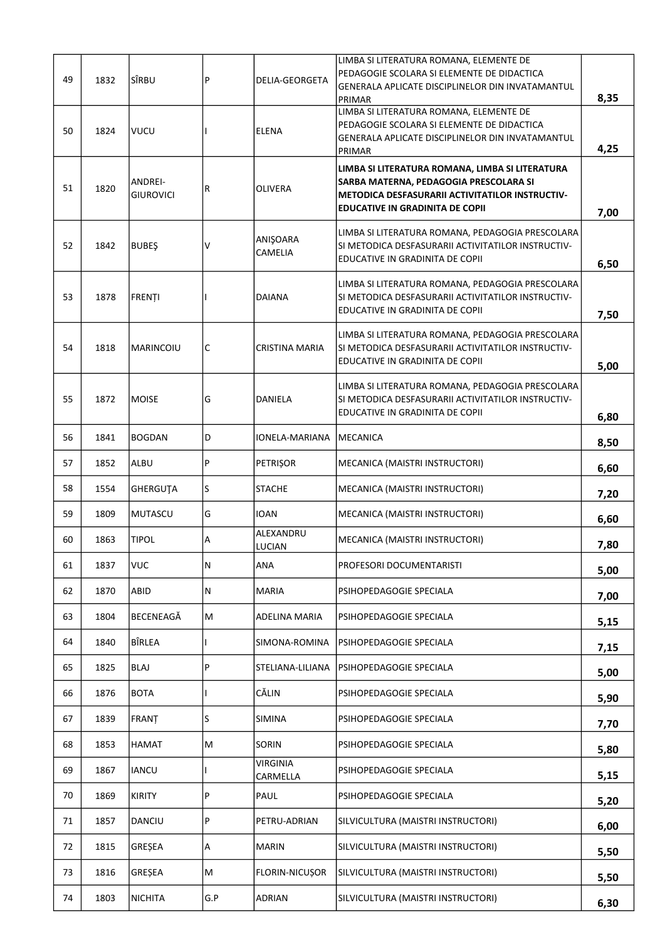| 49 | 1832 | lsîrbu                      | $\mathsf{P}$ | DELIA-GEORGETA              | LIMBA SI LITERATURA ROMANA, ELEMENTE DE<br>PEDAGOGIE SCOLARA SI ELEMENTE DE DIDACTICA<br>GENERALA APLICATE DISCIPLINELOR DIN INVATAMANTUL                                                     | 8,35 |
|----|------|-----------------------------|--------------|-----------------------------|-----------------------------------------------------------------------------------------------------------------------------------------------------------------------------------------------|------|
| 50 | 1824 | vucu                        |              | <b>ELENA</b>                | PRIMAR<br>LIMBA SI LITERATURA ROMANA, ELEMENTE DE<br>PEDAGOGIE SCOLARA SI ELEMENTE DE DIDACTICA<br>GENERALA APLICATE DISCIPLINELOR DIN INVATAMANTUL<br>PRIMAR                                 | 4,25 |
| 51 | 1820 | ANDREI-<br><b>GIUROVICI</b> | R            | <b>OLIVERA</b>              | LIMBA SI LITERATURA ROMANA, LIMBA SI LITERATURA<br>SARBA MATERNA, PEDAGOGIA PRESCOLARA SI<br><b>METODICA DESFASURARII ACTIVITATILOR INSTRUCTIV-</b><br><b>EDUCATIVE IN GRADINITA DE COPII</b> | 7,00 |
| 52 | 1842 | BUBEŞ                       | V            | ANIŞOARA<br>CAMELIA         | LIMBA SI LITERATURA ROMANA, PEDAGOGIA PRESCOLARA<br>SI METODICA DESFASURARII ACTIVITATILOR INSTRUCTIV-<br>EDUCATIVE IN GRADINITA DE COPII                                                     | 6,50 |
| 53 | 1878 | <b>FRENTI</b>               |              | <b>DAIANA</b>               | LIMBA SI LITERATURA ROMANA, PEDAGOGIA PRESCOLARA<br>SI METODICA DESFASURARII ACTIVITATILOR INSTRUCTIV-<br>EDUCATIVE IN GRADINITA DE COPII                                                     | 7,50 |
| 54 | 1818 | MARINCOIU                   | C            | CRISTINA MARIA              | LIMBA SI LITERATURA ROMANA, PEDAGOGIA PRESCOLARA<br>SI METODICA DESFASURARII ACTIVITATILOR INSTRUCTIV-<br>EDUCATIVE IN GRADINITA DE COPII                                                     | 5,00 |
| 55 | 1872 | MOISE                       | G            | DANIELA                     | LIMBA SI LITERATURA ROMANA, PEDAGOGIA PRESCOLARA<br>SI METODICA DESFASURARII ACTIVITATILOR INSTRUCTIV-<br>EDUCATIVE IN GRADINITA DE COPII                                                     | 6,80 |
| 56 | 1841 | <b>BOGDAN</b>               | D            | IONELA-MARIANA              | <b>MECANICA</b>                                                                                                                                                                               | 8,50 |
| 57 | 1852 | ALBU                        | P            | <b>PETRISOR</b>             | MECANICA (MAISTRI INSTRUCTORI)                                                                                                                                                                | 6,60 |
| 58 | 1554 | GHERGUTA                    | S            | <b>STACHE</b>               | MECANICA (MAISTRI INSTRUCTORI)                                                                                                                                                                | 7,20 |
| 59 | 1809 | MUTASCU                     | G            | IOAN                        | MECANICA (MAISTRI INSTRUCTORI)                                                                                                                                                                | 6,60 |
| 60 | 1863 | <b>TIPOL</b>                | Α            | ALEXANDRU<br><b>LUCIAN</b>  | MECANICA (MAISTRI INSTRUCTORI)                                                                                                                                                                | 7,80 |
| 61 | 1837 | <b>VUC</b>                  | N            | ANA                         | PROFESORI DOCUMENTARISTI                                                                                                                                                                      | 5,00 |
| 62 | 1870 | ABID                        | ${\sf N}$    | MARIA                       | PSIHOPEDAGOGIE SPECIALA                                                                                                                                                                       | 7,00 |
| 63 | 1804 | BECENEAGĂ                   | м            | ADELINA MARIA               | PSIHOPEDAGOGIE SPECIALA                                                                                                                                                                       | 5,15 |
| 64 | 1840 | BÎRLEA                      |              | SIMONA-ROMINA               | PSIHOPEDAGOGIE SPECIALA                                                                                                                                                                       | 7,15 |
| 65 | 1825 | <b>BLAJ</b>                 | P            | STELIANA-LILIANA            | PSIHOPEDAGOGIE SPECIALA                                                                                                                                                                       | 5,00 |
| 66 | 1876 | <b>BOTA</b>                 |              | CĂLIN                       | PSIHOPEDAGOGIE SPECIALA                                                                                                                                                                       | 5,90 |
| 67 | 1839 | FRANT                       | S            | <b>SIMINA</b>               | PSIHOPEDAGOGIE SPECIALA                                                                                                                                                                       | 7,70 |
| 68 | 1853 | <b>HAMAT</b>                | M            | SORIN                       | PSIHOPEDAGOGIE SPECIALA                                                                                                                                                                       | 5,80 |
| 69 | 1867 | <b>IANCU</b>                |              | <b>VIRGINIA</b><br>CARMELLA | PSIHOPEDAGOGIE SPECIALA                                                                                                                                                                       | 5,15 |
| 70 | 1869 | <b>KIRITY</b>               | P            | PAUL                        | PSIHOPEDAGOGIE SPECIALA                                                                                                                                                                       | 5,20 |
| 71 | 1857 | <b>DANCIU</b>               | P            | PETRU-ADRIAN                | SILVICULTURA (MAISTRI INSTRUCTORI)                                                                                                                                                            | 6,00 |
| 72 | 1815 | GRESEA                      | Α            | <b>MARIN</b>                | SILVICULTURA (MAISTRI INSTRUCTORI)                                                                                                                                                            | 5,50 |
| 73 | 1816 | GRESEA                      | M            | FLORIN-NICUSOR              | SILVICULTURA (MAISTRI INSTRUCTORI)                                                                                                                                                            | 5,50 |
| 74 | 1803 | NICHITA                     | G.P          | ADRIAN                      | SILVICULTURA (MAISTRI INSTRUCTORI)                                                                                                                                                            | 6,30 |